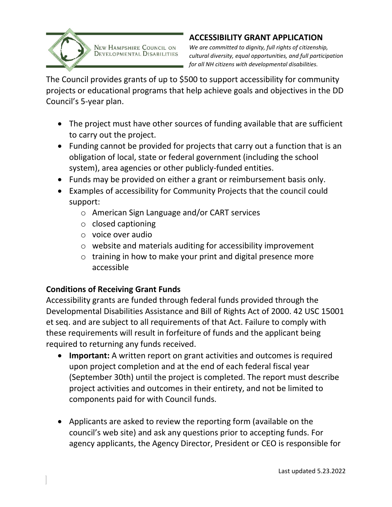

### **ACCESSIBILITY GRANT APPLICATION**

NEW HAMPSHIRE COUNCIL ON DEVELOPMENTAL DISABILITIES

*We are committed to dignity, full rights of citizenship, cultural diversity, equal opportunities, and full participation for all NH citizens with developmental disabilities.*

The Council provides grants of up to \$500 to support accessibility for community projects or educational programs that help achieve goals and objectives in the DD Council's 5-year plan.

- The project must have other sources of funding available that are sufficient to carry out the project.
- Funding cannot be provided for projects that carry out a function that is an obligation of local, state or federal government (including the school system), area agencies or other publicly-funded entities.
- Funds may be provided on either a grant or reimbursement basis only.
- Examples of accessibility for Community Projects that the council could support:
	- o American Sign Language and/or CART services
	- o closed captioning
	- o voice over audio
	- o website and materials auditing for accessibility improvement
	- o training in how to make your print and digital presence more accessible

## **Conditions of Receiving Grant Funds**

Accessibility grants are funded through federal funds provided through the Developmental Disabilities Assistance and Bill of Rights Act of 2000. 42 USC 15001 et seq. and are subject to all requirements of that Act. Failure to comply with these requirements will result in forfeiture of funds and the applicant being required to returning any funds received.

- **Important:** A written report on grant activities and outcomes is required upon project completion and at the end of each federal fiscal year (September 30th) until the project is completed. The report must describe project activities and outcomes in their entirety, and not be limited to components paid for with Council funds.
- Applicants are asked to review the reporting form (available on the council's web site) and ask any questions prior to accepting funds. For agency applicants, the Agency Director, President or CEO is responsible for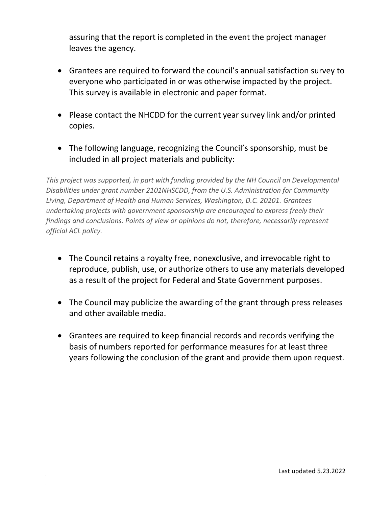assuring that the report is completed in the event the project manager leaves the agency.

- Grantees are required to forward the council's annual satisfaction survey to everyone who participated in or was otherwise impacted by the project. This survey is available in electronic and paper format.
- Please contact the NHCDD for the current year survey link and/or printed copies.
- The following language, recognizing the Council's sponsorship, must be included in all project materials and publicity:

*This project was supported, in part with funding provided by the NH Council on Developmental Disabilities under grant number 2101NHSCDD, from the U.S. Administration for Community Living, Department of Health and Human Services, Washington, D.C. 20201. Grantees undertaking projects with government sponsorship are encouraged to express freely their findings and conclusions. Points of view or opinions do not, therefore, necessarily represent official ACL policy.* 

- The Council retains a royalty free, nonexclusive, and irrevocable right to reproduce, publish, use, or authorize others to use any materials developed as a result of the project for Federal and State Government purposes.
- The Council may publicize the awarding of the grant through press releases and other available media.
- Grantees are required to keep financial records and records verifying the basis of numbers reported for performance measures for at least three years following the conclusion of the grant and provide them upon request.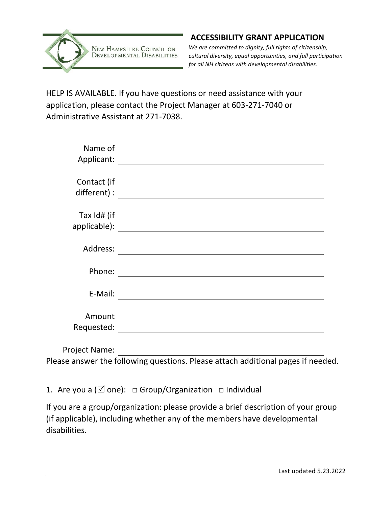

## **ACCESSIBILITY GRANT APPLICATION**

*We are committed to dignity, full rights of citizenship, cultural diversity, equal opportunities, and full participation for all NH citizens with developmental disabilities.*

HELP IS AVAILABLE. If you have questions or need assistance with your application, please contact the Project Manager at 603-271-7040 or Administrative Assistant at 271-7038.

| Name of<br>Applicant:       |  |
|-----------------------------|--|
| Contact (if<br>different) : |  |
| Tax Id# (if<br>applicable): |  |
| Address:                    |  |
| Phone:                      |  |
| E-Mail:                     |  |
| Amount<br>Requested:        |  |
| <b>Project Name:</b>        |  |

Please answer the following questions. Please attach additional pages if needed.

1. Are you a ( $\boxtimes$  one):  $\Box$  Group/Organization  $\Box$  Individual

If you are a group/organization: please provide a brief description of your group (if applicable), including whether any of the members have developmental disabilities.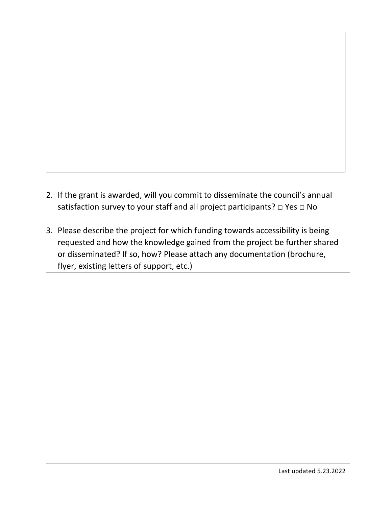- 2. If the grant is awarded, will you commit to disseminate the council's annual satisfaction survey to your staff and all project participants? □ Yes □ No
- 3. Please describe the project for which funding towards accessibility is being requested and how the knowledge gained from the project be further shared or disseminated? If so, how? Please attach any documentation (brochure, flyer, existing letters of support, etc.)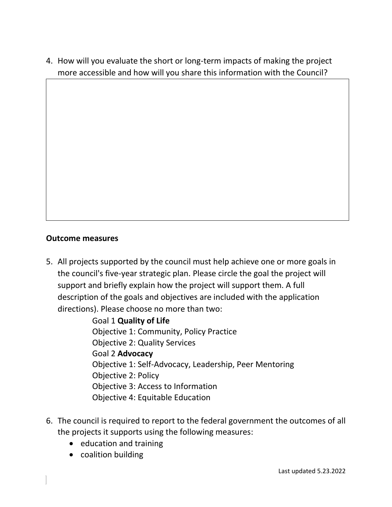4. How will you evaluate the short or long-term impacts of making the project more accessible and how will you share this information with the Council?

#### **Outcome measures**

5. All projects supported by the council must help achieve one or more goals in the council's five-year strategic plan. Please circle the goal the project will support and briefly explain how the project will support them. A full description of the goals and objectives are included with the application directions). Please choose no more than two:

> Goal 1 **Quality of Life**  Objective 1: Community, Policy Practice Objective 2: Quality Services Goal 2 **Advocacy**  Objective 1: Self-Advocacy, Leadership, Peer Mentoring Objective 2: Policy Objective 3: Access to Information Objective 4: Equitable Education

- 6. The council is required to report to the federal government the outcomes of all the projects it supports using the following measures:
	- education and training
	- coalition building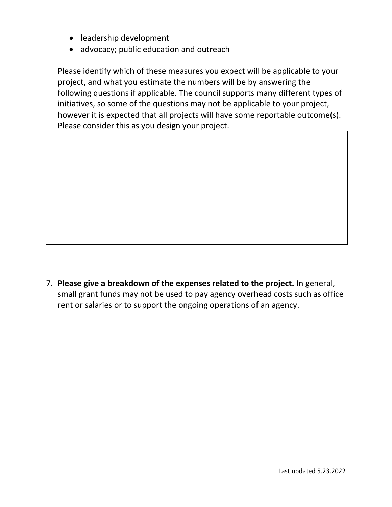- leadership development
- advocacy; public education and outreach

Please identify which of these measures you expect will be applicable to your project, and what you estimate the numbers will be by answering the following questions if applicable. The council supports many different types of initiatives, so some of the questions may not be applicable to your project, however it is expected that all projects will have some reportable outcome(s). Please consider this as you design your project.

7. **Please give a breakdown of the expenses related to the project.** In general, small grant funds may not be used to pay agency overhead costs such as office rent or salaries or to support the ongoing operations of an agency.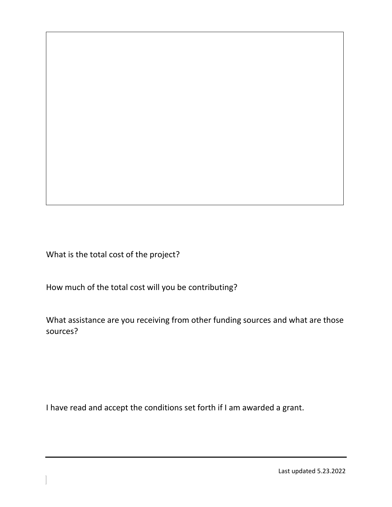What is the total cost of the project?

How much of the total cost will you be contributing?

What assistance are you receiving from other funding sources and what are those sources?

I have read and accept the conditions set forth if I am awarded a grant.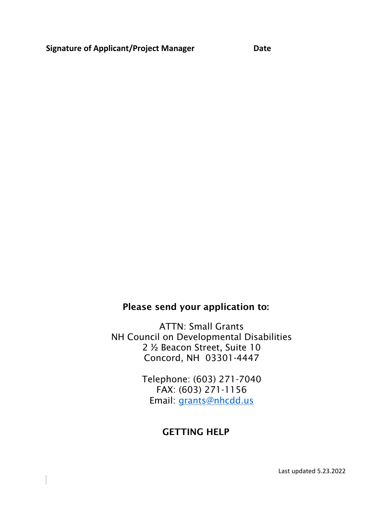## Please send your application to:

ATTN: Small Grants NH Council on Developmental Disabilities 2 ½ Beacon Street, Suite 10 Concord, NH 03301-4447

> Telephone: (603) 271-7040 FAX: (603) 271-1156 Email: [grants@nhcdd.us](mailto:grants@nhcdd.us)

# GETTING HELP